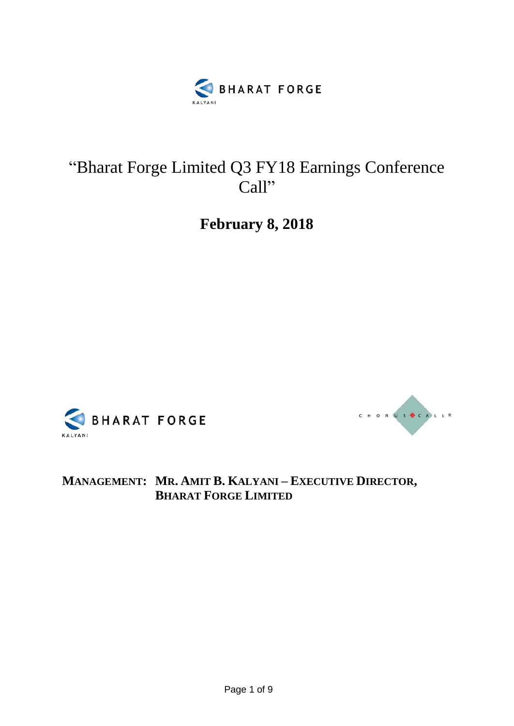

## "Bharat Forge Limited Q3 FY18 Earnings Conference Call"

**February 8, 2018**





**MANAGEMENT: MR. AMIT B. KALYANI – EXECUTIVE DIRECTOR, BHARAT FORGE LIMITED**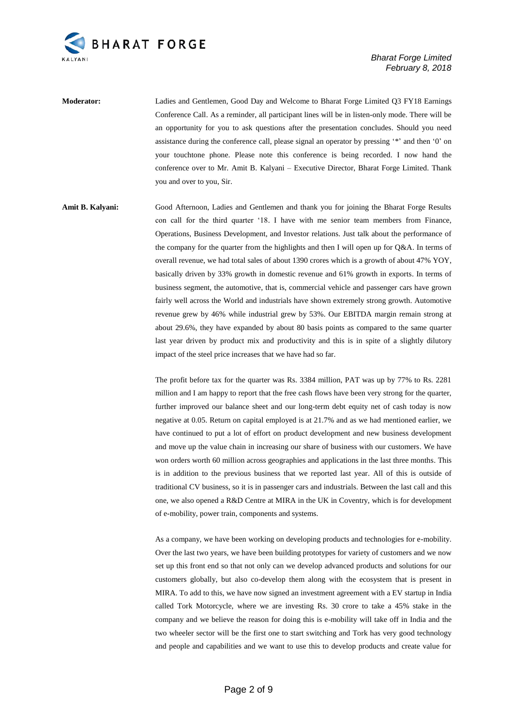

*Bharat Forge Limited February 8, 2018*

**Moderator:** Ladies and Gentlemen, Good Day and Welcome to Bharat Forge Limited Q3 FY18 Earnings Conference Call. As a reminder, all participant lines will be in listen-only mode. There will be an opportunity for you to ask questions after the presentation concludes. Should you need assistance during the conference call, please signal an operator by pressing '\*' and then '0' on your touchtone phone. Please note this conference is being recorded. I now hand the conference over to Mr. Amit B. Kalyani – Executive Director, Bharat Forge Limited. Thank you and over to you, Sir.

**Amit B. Kalyani:** Good Afternoon, Ladies and Gentlemen and thank you for joining the Bharat Forge Results con call for the third quarter '18. I have with me senior team members from Finance, Operations, Business Development, and Investor relations. Just talk about the performance of the company for the quarter from the highlights and then I will open up for Q&A. In terms of overall revenue, we had total sales of about 1390 crores which is a growth of about 47% YOY, basically driven by 33% growth in domestic revenue and 61% growth in exports. In terms of business segment, the automotive, that is, commercial vehicle and passenger cars have grown fairly well across the World and industrials have shown extremely strong growth. Automotive revenue grew by 46% while industrial grew by 53%. Our EBITDA margin remain strong at about 29.6%, they have expanded by about 80 basis points as compared to the same quarter last year driven by product mix and productivity and this is in spite of a slightly dilutory impact of the steel price increases that we have had so far.

> The profit before tax for the quarter was Rs. 3384 million, PAT was up by 77% to Rs. 2281 million and I am happy to report that the free cash flows have been very strong for the quarter, further improved our balance sheet and our long-term debt equity net of cash today is now negative at 0.05. Return on capital employed is at 21.7% and as we had mentioned earlier, we have continued to put a lot of effort on product development and new business development and move up the value chain in increasing our share of business with our customers. We have won orders worth 60 million across geographies and applications in the last three months. This is in addition to the previous business that we reported last year. All of this is outside of traditional CV business, so it is in passenger cars and industrials. Between the last call and this one, we also opened a R&D Centre at MIRA in the UK in Coventry, which is for development of e-mobility, power train, components and systems.

> As a company, we have been working on developing products and technologies for e-mobility. Over the last two years, we have been building prototypes for variety of customers and we now set up this front end so that not only can we develop advanced products and solutions for our customers globally, but also co-develop them along with the ecosystem that is present in MIRA. To add to this, we have now signed an investment agreement with a EV startup in India called Tork Motorcycle, where we are investing Rs. 30 crore to take a 45% stake in the company and we believe the reason for doing this is e-mobility will take off in India and the two wheeler sector will be the first one to start switching and Tork has very good technology and people and capabilities and we want to use this to develop products and create value for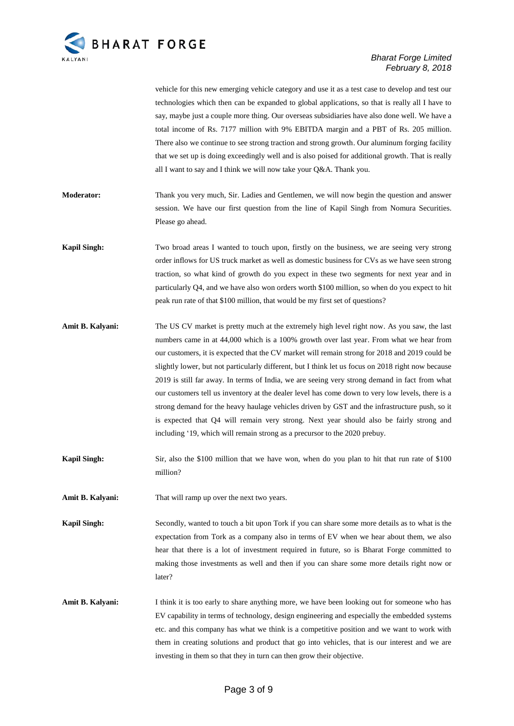

vehicle for this new emerging vehicle category and use it as a test case to develop and test our technologies which then can be expanded to global applications, so that is really all I have to say, maybe just a couple more thing. Our overseas subsidiaries have also done well. We have a total income of Rs. 7177 million with 9% EBITDA margin and a PBT of Rs. 205 million. There also we continue to see strong traction and strong growth. Our aluminum forging facility that we set up is doing exceedingly well and is also poised for additional growth. That is really all I want to say and I think we will now take your Q&A. Thank you.

- **Moderator:** Thank you very much, Sir. Ladies and Gentlemen, we will now begin the question and answer session. We have our first question from the line of Kapil Singh from Nomura Securities. Please go ahead.
- **Kapil Singh:** Two broad areas I wanted to touch upon, firstly on the business, we are seeing very strong order inflows for US truck market as well as domestic business for CVs as we have seen strong traction, so what kind of growth do you expect in these two segments for next year and in particularly Q4, and we have also won orders worth \$100 million, so when do you expect to hit peak run rate of that \$100 million, that would be my first set of questions?
- **Amit B. Kalyani:** The US CV market is pretty much at the extremely high level right now. As you saw, the last numbers came in at 44,000 which is a 100% growth over last year. From what we hear from our customers, it is expected that the CV market will remain strong for 2018 and 2019 could be slightly lower, but not particularly different, but I think let us focus on 2018 right now because 2019 is still far away. In terms of India, we are seeing very strong demand in fact from what our customers tell us inventory at the dealer level has come down to very low levels, there is a strong demand for the heavy haulage vehicles driven by GST and the infrastructure push, so it is expected that Q4 will remain very strong. Next year should also be fairly strong and including '19, which will remain strong as a precursor to the 2020 prebuy.
- **Kapil Singh:** Sir, also the \$100 million that we have won, when do you plan to hit that run rate of \$100 million?
- **Amit B. Kalyani:** That will ramp up over the next two years.

**Kapil Singh:** Secondly, wanted to touch a bit upon Tork if you can share some more details as to what is the expectation from Tork as a company also in terms of EV when we hear about them, we also hear that there is a lot of investment required in future, so is Bharat Forge committed to making those investments as well and then if you can share some more details right now or later?

**Amit B. Kalyani:** I think it is too early to share anything more, we have been looking out for someone who has EV capability in terms of technology, design engineering and especially the embedded systems etc. and this company has what we think is a competitive position and we want to work with them in creating solutions and product that go into vehicles, that is our interest and we are investing in them so that they in turn can then grow their objective.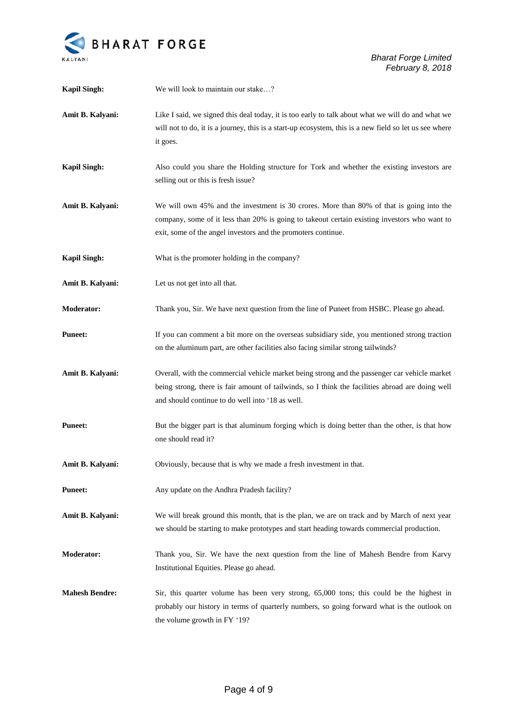

| <b>Kapil Singh:</b>   | We will look to maintain our stake?                                                                                                                                                                                                                       |
|-----------------------|-----------------------------------------------------------------------------------------------------------------------------------------------------------------------------------------------------------------------------------------------------------|
| Amit B. Kalyani:      | Like I said, we signed this deal today, it is too early to talk about what we will do and what we<br>will not to do, it is a journey, this is a start-up ecosystem, this is a new field so let us see where<br>it goes.                                   |
| <b>Kapil Singh:</b>   | Also could you share the Holding structure for Tork and whether the existing investors are<br>selling out or this is fresh issue?                                                                                                                         |
| Amit B. Kalyani:      | We will own 45% and the investment is 30 crores. More than 80% of that is going into the<br>company, some of it less than 20% is going to takeout certain existing investors who want to<br>exit, some of the angel investors and the promoters continue. |
| <b>Kapil Singh:</b>   | What is the promoter holding in the company?                                                                                                                                                                                                              |
| Amit B. Kalyani:      | Let us not get into all that.                                                                                                                                                                                                                             |
| <b>Moderator:</b>     | Thank you, Sir. We have next question from the line of Puneet from HSBC. Please go ahead.                                                                                                                                                                 |
| <b>Puneet:</b>        | If you can comment a bit more on the overseas subsidiary side, you mentioned strong traction<br>on the aluminum part, are other facilities also facing similar strong tailwinds?                                                                          |
| Amit B. Kalyani:      | Overall, with the commercial vehicle market being strong and the passenger car vehicle market<br>being strong, there is fair amount of tailwinds, so I think the facilities abroad are doing well<br>and should continue to do well into '18 as well.     |
| <b>Puneet:</b>        | But the bigger part is that aluminum forging which is doing better than the other, is that how<br>one should read it?                                                                                                                                     |
| Amit B. Kalyani:      | Obviously, because that is why we made a fresh investment in that.                                                                                                                                                                                        |
| <b>Puneet:</b>        | Any update on the Andhra Pradesh facility?                                                                                                                                                                                                                |
| Amit B. Kalyani:      | We will break ground this month, that is the plan, we are on track and by March of next year<br>we should be starting to make prototypes and start heading towards commercial production.                                                                 |
| <b>Moderator:</b>     | Thank you, Sir. We have the next question from the line of Mahesh Bendre from Karvy<br>Institutional Equities. Please go ahead.                                                                                                                           |
| <b>Mahesh Bendre:</b> | Sir, this quarter volume has been very strong, 65,000 tons; this could be the highest in<br>probably our history in terms of quarterly numbers, so going forward what is the outlook on<br>the volume growth in FY '19?                                   |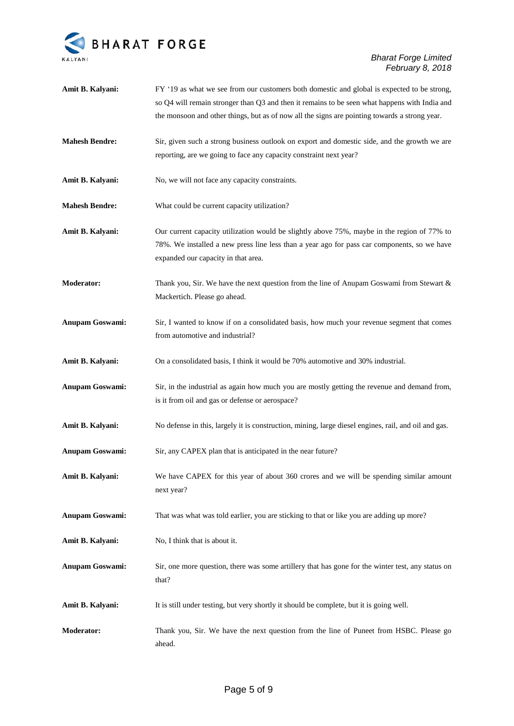

| Amit B. Kalyani:       | FY '19 as what we see from our customers both domestic and global is expected to be strong,                                                                                                                                       |
|------------------------|-----------------------------------------------------------------------------------------------------------------------------------------------------------------------------------------------------------------------------------|
|                        | so Q4 will remain stronger than Q3 and then it remains to be seen what happens with India and                                                                                                                                     |
|                        | the monsoon and other things, but as of now all the signs are pointing towards a strong year.                                                                                                                                     |
| <b>Mahesh Bendre:</b>  | Sir, given such a strong business outlook on export and domestic side, and the growth we are                                                                                                                                      |
|                        | reporting, are we going to face any capacity constraint next year?                                                                                                                                                                |
| Amit B. Kalyani:       | No, we will not face any capacity constraints.                                                                                                                                                                                    |
| <b>Mahesh Bendre:</b>  | What could be current capacity utilization?                                                                                                                                                                                       |
| Amit B. Kalyani:       | Our current capacity utilization would be slightly above 75%, maybe in the region of 77% to<br>78%. We installed a new press line less than a year ago for pass car components, so we have<br>expanded our capacity in that area. |
| Moderator:             | Thank you, Sir. We have the next question from the line of Anupam Goswami from Stewart &<br>Mackertich. Please go ahead.                                                                                                          |
| Anupam Goswami:        | Sir, I wanted to know if on a consolidated basis, how much your revenue segment that comes<br>from automotive and industrial?                                                                                                     |
| Amit B. Kalyani:       | On a consolidated basis, I think it would be 70% automotive and 30% industrial.                                                                                                                                                   |
| <b>Anupam Goswami:</b> | Sir, in the industrial as again how much you are mostly getting the revenue and demand from,<br>is it from oil and gas or defense or aerospace?                                                                                   |
|                        |                                                                                                                                                                                                                                   |
| Amit B. Kalyani:       | No defense in this, largely it is construction, mining, large diesel engines, rail, and oil and gas.                                                                                                                              |
| Anupam Goswami:        | Sir, any CAPEX plan that is anticipated in the near future?                                                                                                                                                                       |
| Amit B. Kalyani:       | We have CAPEX for this year of about 360 crores and we will be spending similar amount<br>next year?                                                                                                                              |
| <b>Anupam Goswami:</b> | That was what was told earlier, you are sticking to that or like you are adding up more?                                                                                                                                          |
| Amit B. Kalyani:       | No, I think that is about it.                                                                                                                                                                                                     |
| <b>Anupam Goswami:</b> | Sir, one more question, there was some artillery that has gone for the winter test, any status on<br>that?                                                                                                                        |
| Amit B. Kalyani:       | It is still under testing, but very shortly it should be complete, but it is going well.                                                                                                                                          |
| Moderator:             | Thank you, Sir. We have the next question from the line of Puneet from HSBC. Please go<br>ahead.                                                                                                                                  |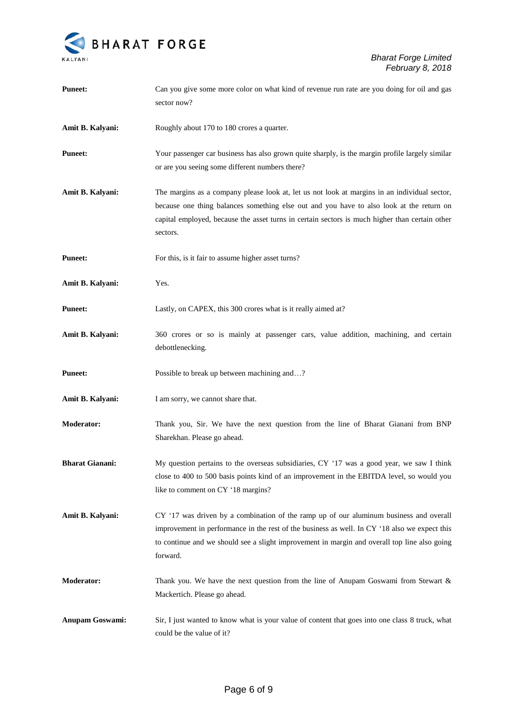

| <b>Puneet:</b>         | Can you give some more color on what kind of revenue run rate are you doing for oil and gas<br>sector now?                                                                                                                                                                                             |
|------------------------|--------------------------------------------------------------------------------------------------------------------------------------------------------------------------------------------------------------------------------------------------------------------------------------------------------|
| Amit B. Kalyani:       | Roughly about 170 to 180 crores a quarter.                                                                                                                                                                                                                                                             |
| <b>Puneet:</b>         | Your passenger car business has also grown quite sharply, is the margin profile largely similar<br>or are you seeing some different numbers there?                                                                                                                                                     |
| Amit B. Kalyani:       | The margins as a company please look at, let us not look at margins in an individual sector,<br>because one thing balances something else out and you have to also look at the return on<br>capital employed, because the asset turns in certain sectors is much higher than certain other<br>sectors. |
| <b>Puneet:</b>         | For this, is it fair to assume higher asset turns?                                                                                                                                                                                                                                                     |
| Amit B. Kalyani:       | Yes.                                                                                                                                                                                                                                                                                                   |
| <b>Puneet:</b>         | Lastly, on CAPEX, this 300 crores what is it really aimed at?                                                                                                                                                                                                                                          |
| Amit B. Kalyani:       | 360 crores or so is mainly at passenger cars, value addition, machining, and certain<br>debottlenecking.                                                                                                                                                                                               |
| <b>Puneet:</b>         | Possible to break up between machining and?                                                                                                                                                                                                                                                            |
| Amit B. Kalyani:       | I am sorry, we cannot share that.                                                                                                                                                                                                                                                                      |
| <b>Moderator:</b>      | Thank you, Sir. We have the next question from the line of Bharat Gianani from BNP<br>Sharekhan. Please go ahead.                                                                                                                                                                                      |
| <b>Bharat Gianani:</b> | My question pertains to the overseas subsidiaries, CY '17 was a good year, we saw I think<br>close to 400 to 500 basis points kind of an improvement in the EBITDA level, so would you<br>like to comment on CY '18 margins?                                                                           |
| Amit B. Kalyani:       | CY '17 was driven by a combination of the ramp up of our aluminum business and overall<br>improvement in performance in the rest of the business as well. In CY '18 also we expect this<br>to continue and we should see a slight improvement in margin and overall top line also going<br>forward.    |
| <b>Moderator:</b>      | Thank you. We have the next question from the line of Anupam Goswami from Stewart $\&$<br>Mackertich. Please go ahead.                                                                                                                                                                                 |
| <b>Anupam Goswami:</b> | Sir, I just wanted to know what is your value of content that goes into one class 8 truck, what<br>could be the value of it?                                                                                                                                                                           |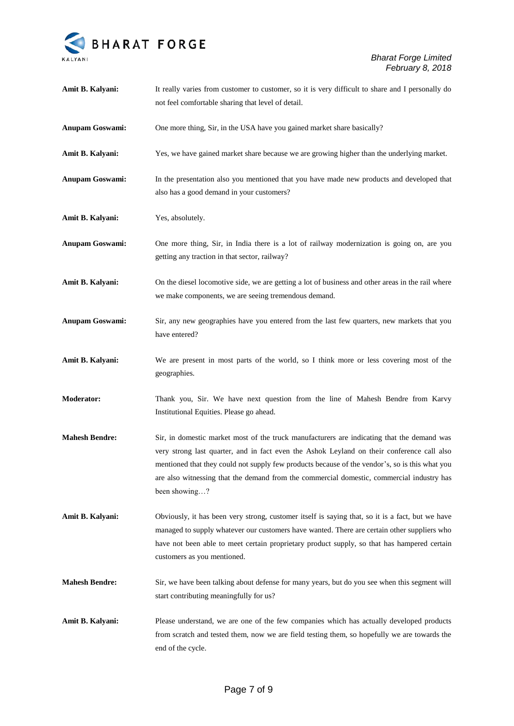

| Amit B. Kalyani:       | It really varies from customer to customer, so it is very difficult to share and I personally do<br>not feel comfortable sharing that level of detail.                                                                                                                                                                                                                                                   |
|------------------------|----------------------------------------------------------------------------------------------------------------------------------------------------------------------------------------------------------------------------------------------------------------------------------------------------------------------------------------------------------------------------------------------------------|
| <b>Anupam Goswami:</b> | One more thing, Sir, in the USA have you gained market share basically?                                                                                                                                                                                                                                                                                                                                  |
| Amit B. Kalyani:       | Yes, we have gained market share because we are growing higher than the underlying market.                                                                                                                                                                                                                                                                                                               |
| <b>Anupam Goswami:</b> | In the presentation also you mentioned that you have made new products and developed that<br>also has a good demand in your customers?                                                                                                                                                                                                                                                                   |
| Amit B. Kalyani:       | Yes, absolutely.                                                                                                                                                                                                                                                                                                                                                                                         |
| Anupam Goswami:        | One more thing, Sir, in India there is a lot of railway modernization is going on, are you<br>getting any traction in that sector, railway?                                                                                                                                                                                                                                                              |
| Amit B. Kalyani:       | On the diesel locomotive side, we are getting a lot of business and other areas in the rail where<br>we make components, we are seeing tremendous demand.                                                                                                                                                                                                                                                |
| Anupam Goswami:        | Sir, any new geographies have you entered from the last few quarters, new markets that you<br>have entered?                                                                                                                                                                                                                                                                                              |
| Amit B. Kalyani:       | We are present in most parts of the world, so I think more or less covering most of the<br>geographies.                                                                                                                                                                                                                                                                                                  |
| <b>Moderator:</b>      | Thank you, Sir. We have next question from the line of Mahesh Bendre from Karvy<br>Institutional Equities. Please go ahead.                                                                                                                                                                                                                                                                              |
| <b>Mahesh Bendre:</b>  | Sir, in domestic market most of the truck manufacturers are indicating that the demand was<br>very strong last quarter, and in fact even the Ashok Leyland on their conference call also<br>mentioned that they could not supply few products because of the vendor's, so is this what you<br>are also witnessing that the demand from the commercial domestic, commercial industry has<br>been showing? |
| Amit B. Kalyani:       | Obviously, it has been very strong, customer itself is saying that, so it is a fact, but we have<br>managed to supply whatever our customers have wanted. There are certain other suppliers who<br>have not been able to meet certain proprietary product supply, so that has hampered certain<br>customers as you mentioned.                                                                            |
| <b>Mahesh Bendre:</b>  | Sir, we have been talking about defense for many years, but do you see when this segment will<br>start contributing meaningfully for us?                                                                                                                                                                                                                                                                 |
| Amit B. Kalyani:       | Please understand, we are one of the few companies which has actually developed products<br>from scratch and tested them, now we are field testing them, so hopefully we are towards the<br>end of the cycle.                                                                                                                                                                                            |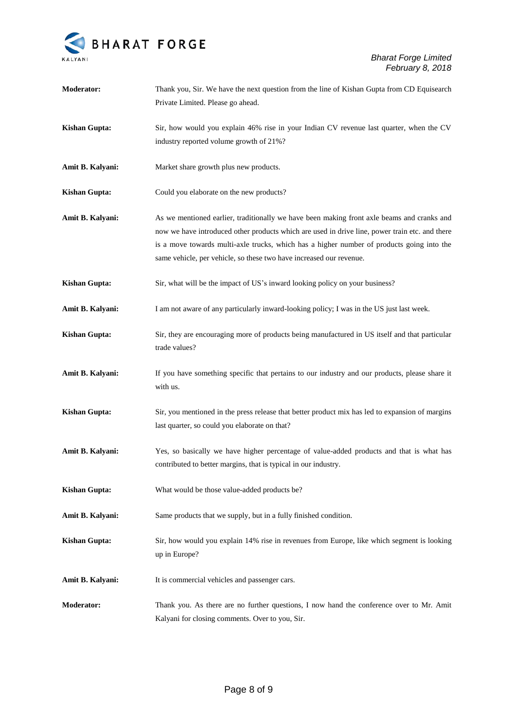

| <b>Moderator:</b>    | Thank you, Sir. We have the next question from the line of Kishan Gupta from CD Equisearch<br>Private Limited. Please go ahead.                                                                                                                                                                                                                                  |
|----------------------|------------------------------------------------------------------------------------------------------------------------------------------------------------------------------------------------------------------------------------------------------------------------------------------------------------------------------------------------------------------|
| <b>Kishan Gupta:</b> | Sir, how would you explain 46% rise in your Indian CV revenue last quarter, when the CV<br>industry reported volume growth of 21%?                                                                                                                                                                                                                               |
| Amit B. Kalyani:     | Market share growth plus new products.                                                                                                                                                                                                                                                                                                                           |
| <b>Kishan Gupta:</b> | Could you elaborate on the new products?                                                                                                                                                                                                                                                                                                                         |
| Amit B. Kalyani:     | As we mentioned earlier, traditionally we have been making front axle beams and cranks and<br>now we have introduced other products which are used in drive line, power train etc. and there<br>is a move towards multi-axle trucks, which has a higher number of products going into the<br>same vehicle, per vehicle, so these two have increased our revenue. |
| <b>Kishan Gupta:</b> | Sir, what will be the impact of US's inward looking policy on your business?                                                                                                                                                                                                                                                                                     |
| Amit B. Kalyani:     | I am not aware of any particularly inward-looking policy; I was in the US just last week.                                                                                                                                                                                                                                                                        |
| <b>Kishan Gupta:</b> | Sir, they are encouraging more of products being manufactured in US itself and that particular<br>trade values?                                                                                                                                                                                                                                                  |
| Amit B. Kalyani:     | If you have something specific that pertains to our industry and our products, please share it<br>with us.                                                                                                                                                                                                                                                       |
| <b>Kishan Gupta:</b> | Sir, you mentioned in the press release that better product mix has led to expansion of margins<br>last quarter, so could you elaborate on that?                                                                                                                                                                                                                 |
| Amit B. Kalyani:     | Yes, so basically we have higher percentage of value-added products and that is what has<br>contributed to better margins, that is typical in our industry.                                                                                                                                                                                                      |
| <b>Kishan Gupta:</b> | What would be those value-added products be?                                                                                                                                                                                                                                                                                                                     |
| Amit B. Kalyani:     | Same products that we supply, but in a fully finished condition.                                                                                                                                                                                                                                                                                                 |
| <b>Kishan Gupta:</b> | Sir, how would you explain 14% rise in revenues from Europe, like which segment is looking<br>up in Europe?                                                                                                                                                                                                                                                      |
| Amit B. Kalyani:     | It is commercial vehicles and passenger cars.                                                                                                                                                                                                                                                                                                                    |
| Moderator:           | Thank you. As there are no further questions, I now hand the conference over to Mr. Amit<br>Kalyani for closing comments. Over to you, Sir.                                                                                                                                                                                                                      |